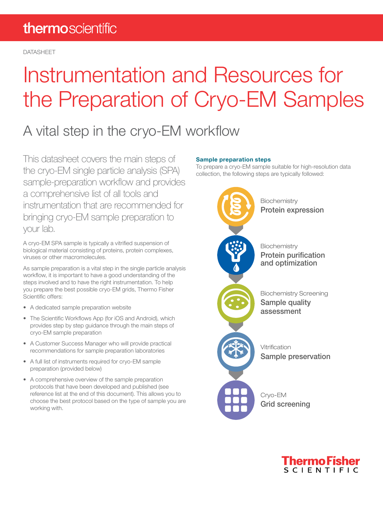DATASHEET

# Instrumentation and Resources for the Preparation of Cryo-EM Samples

### A vital step in the cryo-EM workflow

This datasheet covers the main steps of the cryo-EM single particle analysis (SPA) sample-preparation workflow and provides a comprehensive list of all tools and instrumentation that are recommended for bringing cryo-EM sample preparation to your lab.

A cryo-EM SPA sample is typically a vitrified suspension of biological material consisting of proteins, protein complexes, viruses or other macromolecules.

As sample preparation is a vital step in the single particle analysis workflow, it is important to have a good understanding of the steps involved and to have the right instrumentation. To help you prepare the best possible cryo-EM grids, Thermo Fisher Scientific offers:

- A dedicated sample preparation website
- The Scientific Workflows App (for iOS and Android), which provides step by step guidance through the main steps of cryo-EM sample preparation
- A Customer Success Manager who will provide practical recommendations for sample preparation laboratories
- A full list of instruments required for cryo-EM sample preparation (provided below)
- A comprehensive overview of the sample preparation protocols that have been developed and published (see reference list at the end of this document). This allows you to choose the best protocol based on the type of sample you are working with.

#### Sample preparation steps

To prepare a cryo-EM sample suitable for high-resolution data collection, the following steps are typically followed:



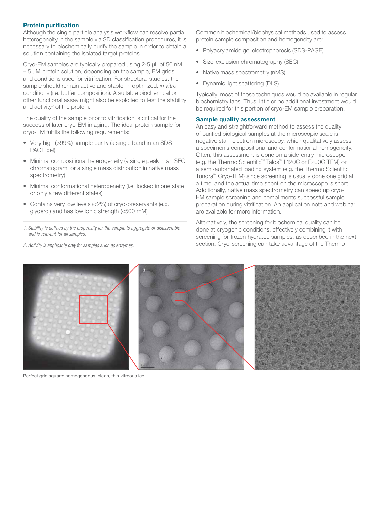#### Protein purification

Although the single particle analysis workflow can resolve partial heterogeneity in the sample via 3D classification procedures, it is necessary to biochemically purify the sample in order to obtain a solution containing the isolated target proteins.

Cryo-EM samples are typically prepared using 2-5 μL of 50 nM – 5 μM protein solution, depending on the sample, EM grids, and conditions used for vitrification. For structural studies, the sample should remain active and stable<sup>1</sup> in optimized, in vitro conditions (i.e. buffer composition). A suitable biochemical or other functional assay might also be exploited to test the stability and activity<sup>2</sup> of the protein.

The quality of the sample prior to vitrification is critical for the success of later cryo-EM imaging. The ideal protein sample for cryo-EM fulfills the following requirements:

- Very high (>99%) sample purity (a single band in an SDS-PAGE gel)
- Minimal compositional heterogeneity (a single peak in an SEC chromatogram, or a single mass distribution in native mass spectrometry)
- Minimal conformational heterogeneity (i.e. locked in one state or only a few different states)
- Contains very low levels (<2%) of cryo-preservants (e.g. glycerol) and has low ionic strength (<500 mM)
- *1. Stability is defined by the propensity for the sample to aggregate or disassemble and is relevant for all samples.*

*2. Activity is applicable only for samples such as enzymes.*

Common biochemical/biophysical methods used to assess protein sample composition and homogeneity are:

- Polyacrylamide gel electrophoresis (SDS-PAGE)
- Size-exclusion chromatography (SEC)
- Native mass spectrometry (nMS)
- Dynamic light scattering (DLS)

Typically, most of these techniques would be available in regular biochemistry labs. Thus, little or no additional investment would be required for this portion of cryo-EM sample preparation.

#### Sample quality assessment

An easy and straightforward method to assess the quality of purified biological samples at the microscopic scale is negative stain electron microscopy, which qualitatively assess a specimen's compositional and conformational homogeneity. Often, this assessment is done on a side-entry microscope (e.g. the Thermo Scientific™ Talos™ L120C or F200C TEM) or a semi-automated loading system (e.g. the Thermo Scientific Tundra™ Cryo-TEM) since screening is usually done one grid at a time, and the actual time spent on the microscope is short. Additionally, native mass spectrometry can speed up cryo-EM sample screening and compliments successful sample preparation during vitrification. An application note and webinar are available for more information.

Alternatively, the screening for biochemical quality can be done at cryogenic conditions, effectively combining it with screening for frozen hydrated samples, as described in the next section. Cryo-screening can take advantage of the Thermo



Perfect grid square: homogeneous, clean, thin vitreous ice.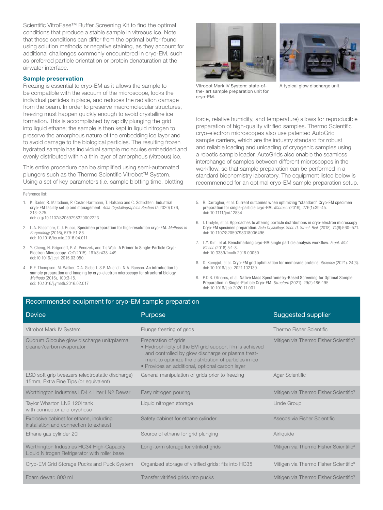Scientific VitroEase™ Buffer Screening Kit to find the optimal conditions that produce a stable sample in vitreous ice. Note that these conditions can differ from the optimal buffer found using solution methods or negative staining, as they account for additional challenges commonly encountered in cryo-EM, such as preferred particle orientation or protein denaturation at the airwater interface.

#### Sample preservation

Freezing is essential to cryo-EM as it allows the sample to be compatible with the vacuum of the microscope, locks the individual particles in place, and reduces the radiation damage from the beam. In order to preserve macromolecular structures, freezing must happen quickly enough to avoid crystalline ice formation. This is accomplished by rapidly plunging the grid into liquid ethane; the sample is then kept in liquid nitrogen to preserve the amorphous nature of the embedding ice layer and to avoid damage to the biological particles. The resulting frozen hydrated sample has individual sample molecules embedded and evenly distributed within a thin layer of amorphous (vitreous) ice.

This entire procedure can be simplified using semi-automated plungers such as the Thermo Scientific Vitrobot™ System. Using a set of key parameters (i.e. sample blotting time, blotting

Reference list:

- 1. K. Sader, R. Matadeen, P. Castro Hartmann, T. Halsana and C. Schlichten, Industrial cryo-EM facility setup and management. *Acta Crystallographica Section D* (2020) D76, 313–325. doi: org/10.1107/S2059798320002223
- 2. L.A. Passmore, C.J. Russo, Specimen preparation for high-resolution cryo-EM. *Methods in Enzymology* (2016), 579: 51-86. doi: 10.1016/bs.mie.2016.04.011
- 3. Y. Cheng, N. Grigorieff, P. A. Penczek, and T.s Walz, A Primer to Single-Particle Cryo-Electron Microscopy. *Cell* (2015), 161(3):438-449. doi:10.1016/j.cell.2015.03.050.
- 4. R.F. Thompson, M. Walker, C.A. Siebert, S.P. Muench, N.A. Ranson. An introduction to sample preparation and imaging by cryo-electron microscopy for structural biology. *Methods* (2016), 100:3-15. doi: 10.1016/j.ymeth.2016.02.017





Vitrobot Mark IV System: state-ofthe- art sample preparation unit for cryo-EM.

A typical glow discharge unit.

force, relative humidity, and temperature) allows for reproducible preparation of high-quality vitrified samples. Thermo Scientific cryo-electron microscopes also use patented AutoGrid sample carriers, which are the industry standard for robust and reliable loading and unloading of cryogenic samples using a robotic sample loader. AutoGrids also enable the seamless interchange of samples between different microscopes in the workflow, so that sample preparation can be performed in a standard biochemistry laboratory. The equipment listed below is recommended for an optimal cryo-EM sample preparation setup.

- 5. B. Carragher, et al. Current outcomes when optimizing "standard" Cryo-EM specimen preparation for single-particle cryo-EM. *Microsci* (2019), 276(1):39-45. doi: 10.1111/jmi.12834
- 6. I. Drulyte, et al. Approaches to altering particle distributions in cryo-electron microscopy Cryo-EM specimen preparation. *Acta Crystallogr. Sect. D, Struct. Biol*. (2018), 74(6):560–571. doi: 10.1107/S2059798318006496
- 7. L.Y. Kim, et al. Benchmarking cryo-EM single particle analysis workflow. *Front. Mol. Biosci.* (2018) 5:1-8. doi: 10.3389/fmolb.2018.00050
- 8. D. Kampjut, et al. Cryo-EM grid optimization for membrane proteins. *iScience* (2021). 24(3). doi: 10.1016/j.sci.2021.102139.
- 9. P.D.B. Olinares, et al. Native Mass Spectrometry-Based Screening for Optimal Sample Preparation in Single-Particle Cryo-EM. *Structure* (2021). 29(2):186-195. doi: 10.1016/j.str.2020.11.001

#### Recommended equipment for cryo-EM sample preparation

| <b>Device</b>                                                                              | Purpose                                                                                                                                                                                                                                           | Suggested supplier                                |
|--------------------------------------------------------------------------------------------|---------------------------------------------------------------------------------------------------------------------------------------------------------------------------------------------------------------------------------------------------|---------------------------------------------------|
| Vitrobot Mark IV System                                                                    | Plunge freezing of grids                                                                                                                                                                                                                          | Thermo Fisher Scientific                          |
| Quorum Glocube glow discharge unit/plasma<br>cleaner/carbon evaporator                     | Preparation of grids<br>• Hydrophilicity of the EM grid support film is achieved<br>and controlled by glow discharge or plasma treat-<br>ment to optimize the distribution of particles in ice<br>• Provides an additional, optional carbon layer | Mitigen via Thermo Fisher Scientific <sup>3</sup> |
| ESD soft grip tweezers (electrostatic discharge)<br>15mm, Extra Fine Tips (or equivalent)  | General manipulation of grids prior to freezing                                                                                                                                                                                                   | <b>Agar Scientific</b>                            |
| Worthington Industries LD4 4 Liter LN2 Dewar                                               | Easy nitrogen pouring                                                                                                                                                                                                                             | Mitigen via Thermo Fisher Scientific <sup>3</sup> |
| Taylor Wharton LN2 120I tank<br>with connector and cryohose                                | Liquid nitrogen storage                                                                                                                                                                                                                           | Linde Group                                       |
| Explosive cabinet for ethane, including<br>installation and connection to exhaust          | Safety cabinet for ethane cylinder                                                                                                                                                                                                                | Asecos via Fisher Scientific                      |
| Ethane gas cylinder 20I                                                                    | Source of ethane for grid plunging                                                                                                                                                                                                                | Airliquide                                        |
| Worthington Industries HC34 High-Capacity<br>Liquid Nitrogen Refrigerator with roller base | Long-term storage for vitrified grids                                                                                                                                                                                                             | Mitigen via Thermo Fisher Scientific <sup>3</sup> |
| Cryo-EM Grid Storage Pucks and Puck System                                                 | Organized storage of vitrified grids; fits into HC35                                                                                                                                                                                              | Mitigen via Thermo Fisher Scientific <sup>3</sup> |
| Foam dewar: 800 mL                                                                         | Transfer vitrified grids into pucks                                                                                                                                                                                                               | Mitigen via Thermo Fisher Scientific <sup>3</sup> |